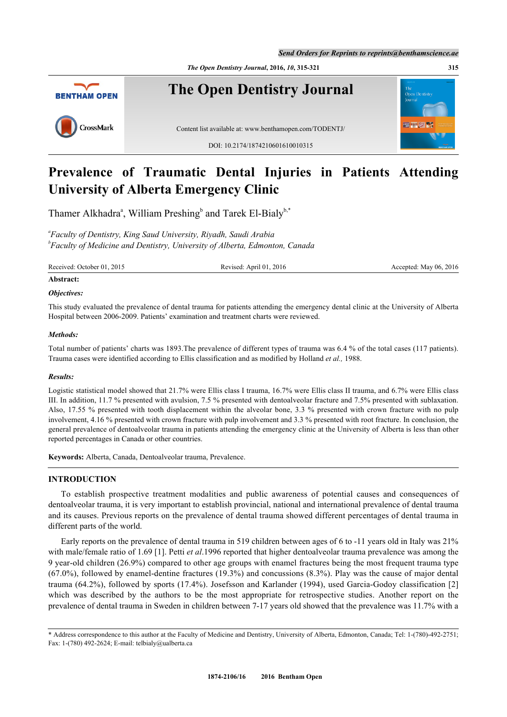*The Open Dentistry Journal***, 2016,** *10***, 315-321 315**



# **Prevalence of Traumatic Dental Injuries in Patients Attending University of Alberta Emergency Clinic**

Th[a](#page-0-0)mer Alkhadra<sup>a</sup>, William Preshing<sup>[b](#page-0-1)</sup> and Tarek El-Bialy<sup>[b,](#page-0-1)[\\*](#page-0-2)</sup>

<span id="page-0-1"></span><span id="page-0-0"></span>*a Faculty of Dentistry, King Saud University, Riyadh, Saudi Arabia b Faculty of Medicine and Dentistry, University of Alberta, Edmonton, Canada*

Received: October 01, 2015 Revised: April 01, 2016 Revised: April 01, 2016 Accepted: May 06, 2016

## **Abstract:**

#### *Objectives:*

This study evaluated the prevalence of dental trauma for patients attending the emergency dental clinic at the University of Alberta Hospital between 2006-2009. Patients' examination and treatment charts were reviewed.

#### *Methods:*

Total number of patients' charts was 1893.The prevalence of different types of trauma was 6.4 % of the total cases (117 patients). Trauma cases were identified according to Ellis classification and as modified by Holland *et al.,* 1988.

#### *Results:*

Logistic statistical model showed that 21.7% were Ellis class I trauma, 16.7% were Ellis class II trauma, and 6.7% were Ellis class III. In addition, 11.7 % presented with avulsion, 7.5 % presented with dentoalveolar fracture and 7.5% presented with sublaxation. Also, 17.55 % presented with tooth displacement within the alveolar bone, 3.3 % presented with crown fracture with no pulp involvement, 4.16 % presented with crown fracture with pulp involvement and 3.3 % presented with root fracture. In conclusion, the general prevalence of dentoalveolar trauma in patients attending the emergency clinic at the University of Alberta is less than other reported percentages in Canada or other countries.

**Keywords:** Alberta, Canada, Dentoalveolar trauma, Prevalence.

## **INTRODUCTION**

To establish prospective treatment modalities and public awareness of potential causes and consequences of dentoalveolar trauma, it is very important to establish provincial, national and international prevalence of dental trauma and its causes. Previous reports on the prevalence of dental trauma showed different percentages of dental trauma in different parts of the world.

Early reports on the prevalence of dental trauma in 519 children between ages of 6 to -11 years old in Italy was 21% with male/female ratio of 1.69 [[1\]](#page-5-0). Petti *et al*.1996 reported that higher dentoalveolar trauma prevalence was among the 9 year-old children (26.9%) compared to other age groups with enamel fractures being the most frequent trauma type (67.0%), followed by enamel-dentine fractures (19.3%) and concussions (8.3%). Play was the cause of major dental trauma (64.2%), followed by sports (17.4%). Josefsson and Karlander (1994), used Garcia-Godoy classification [\[2](#page-5-1)] which was described by the authors to be the most appropriate for retrospective studies. Another report on the prevalence of dental trauma in Sweden in children between 7-17 years old showed that the prevalence was 11.7% with a

<span id="page-0-2"></span><sup>\*</sup> Address correspondence to this author at the Faculty of Medicine and Dentistry, University of Alberta, Edmonton, Canada; Tel: 1-(780)-492-2751; Fax: 1-(780) 492-2624; E-mail: [telbialy@ualberta.ca](mailto:telbialy@ualberta.ca)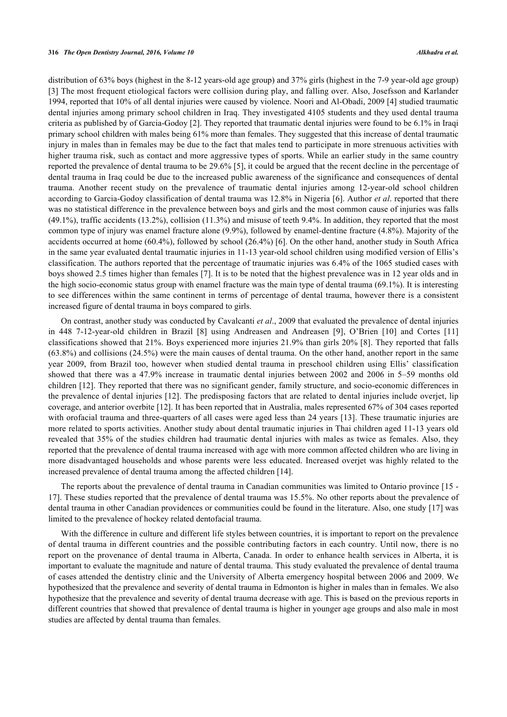distribution of 63% boys (highest in the 8-12 years-old age group) and 37% girls (highest in the 7-9 year-old age group) [\[3](#page-5-2)] The most frequent etiological factors were collision during play, and falling over. Also, Josefsson and Karlander 1994, reported that 10% of all dental injuries were caused by violence. Noori and Al-Obadi, 2009 [[4\]](#page-5-3) studied traumatic dental injuries among primary school children in Iraq. They investigated 4105 students and they used dental trauma criteria as published by of Garcia-Godoy [\[2](#page-5-1)]. They reported that traumatic dental injuries were found to be 6.1% in Iraqi primary school children with males being 61% more than females. They suggested that this increase of dental traumatic injury in males than in females may be due to the fact that males tend to participate in more strenuous activities with higher trauma risk, such as contact and more aggressive types of sports. While an earlier study in the same country reported the prevalence of dental trauma to be 29.6% [[5\]](#page-5-4), it could be argued that the recent decline in the percentage of dental trauma in Iraq could be due to the increased public awareness of the significance and consequences of dental trauma. Another recent study on the prevalence of traumatic dental injuries among 12-year-old school children according to Garcia-Godoy classification of dental trauma was 12.8% in Nigeria [[6](#page-5-5)]. Author *et al*. reported that there was no statistical difference in the prevalence between boys and girls and the most common cause of injuries was falls (49.1%), traffic accidents (13.2%), collision (11.3%) and misuse of teeth 9.4%. In addition, they reported that the most common type of injury was enamel fracture alone (9.9%), followed by enamel-dentine fracture (4.8%). Majority of the accidents occurred at home (60.4%), followed by school (26.4%) [[6\]](#page-5-5). On the other hand, another study in South Africa in the same year evaluated dental traumatic injuries in 11-13 year-old school children using modified version of Ellis's classification. The authors reported that the percentage of traumatic injuries was 6.4% of the 1065 studied cases with boys showed 2.5 times higher than females [[7](#page-5-6)]. It is to be noted that the highest prevalence was in 12 year olds and in the high socio-economic status group with enamel fracture was the main type of dental trauma (69.1%). It is interesting to see differences within the same continent in terms of percentage of dental trauma, however there is a consistent increased figure of dental trauma in boys compared to girls.

On contrast, another study was conducted by Cavalcanti *et al*., 2009 that evaluated the prevalence of dental injuries in 448 7-12-year-old children in Brazil[[8\]](#page-5-7) using Andreasen and Andreasen[[9\]](#page-6-0), O'Brien [\[10](#page-6-1)] and Cortes[[11](#page-6-2)] classifications showed that 21%. Boys experienced more injuries 21.9% than girls 20% [[8\]](#page-5-7). They reported that falls (63.8%) and collisions (24.5%) were the main causes of dental trauma. On the other hand, another report in the same year 2009, from Brazil too, however when studied dental trauma in preschool children using Ellis' classification showed that there was a 47.9% increase in traumatic dental injuries between 2002 and 2006 in 5–59 months old children [\[12](#page-6-3)]. They reported that there was no significant gender, family structure, and socio-economic differences in the prevalence of dental injuries [[12](#page-6-3)]. The predisposing factors that are related to dental injuries include overjet, lip coverage, and anterior overbite [\[12](#page-6-3)]. It has been reported that in Australia, males represented 67% of 304 cases reported with orofacial trauma and three-quarters of all cases were aged less than 24 years [\[13\]](#page-6-4). These traumatic injuries are more related to sports activities. Another study about dental traumatic injuries in Thai children aged 11-13 years old revealed that 35% of the studies children had traumatic dental injuries with males as twice as females. Also, they reported that the prevalence of dental trauma increased with age with more common affected children who are living in more disadvantaged households and whose parents were less educated. Increased overjet was highly related to the increased prevalence of dental trauma among the affected children [[14\]](#page-6-5).

The reports about the prevalence of dental trauma in Canadian communities was limited to Ontario province [\[15](#page-6-6) - [17\]](#page-6-7). These studies reported that the prevalence of dental trauma was 15.5%. No other reports about the prevalence of dental trauma in other Canadian providences or communities could be found in the literature. Also, one study [[17\]](#page-6-7) was limited to the prevalence of hockey related dentofacial trauma.

With the difference in culture and different life styles between countries, it is important to report on the prevalence of dental trauma in different countries and the possible contributing factors in each country. Until now, there is no report on the provenance of dental trauma in Alberta, Canada. In order to enhance health services in Alberta, it is important to evaluate the magnitude and nature of dental trauma. This study evaluated the prevalence of dental trauma of cases attended the dentistry clinic and the University of Alberta emergency hospital between 2006 and 2009. We hypothesized that the prevalence and severity of dental trauma in Edmonton is higher in males than in females. We also hypothesize that the prevalence and severity of dental trauma decrease with age. This is based on the previous reports in different countries that showed that prevalence of dental trauma is higher in younger age groups and also male in most studies are affected by dental trauma than females.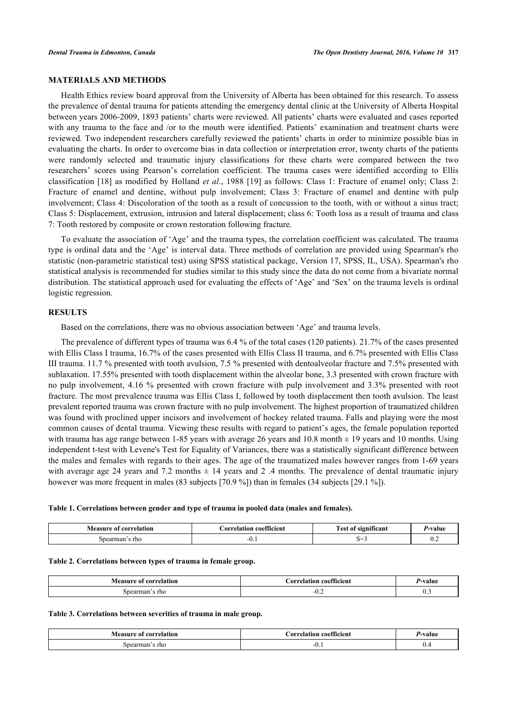## **MATERIALS AND METHODS**

Health Ethics review board approval from the University of Alberta has been obtained for this research. To assess the prevalence of dental trauma for patients attending the emergency dental clinic at the University of Alberta Hospital between years 2006-2009, 1893 patients' charts were reviewed. All patients' charts were evaluated and cases reported with any trauma to the face and /or to the mouth were identified. Patients' examination and treatment charts were reviewed. Two independent researchers carefully reviewed the patients' charts in order to minimize possible bias in evaluating the charts. In order to overcome bias in data collection or interpretation error, twenty charts of the patients were randomly selected and traumatic injury classifications for these charts were compared between the two researchers' scores using Pearson's correlation coefficient. The trauma cases were identified according to Ellis classification [[18](#page-6-8)] as modified by Holland *et al*., 1988 [\[19\]](#page-6-9) as follows: Class 1: Fracture of enamel only; Class 2: Fracture of enamel and dentine, without pulp involvement; Class 3: Fracture of enamel and dentine with pulp involvement; Class 4: Discoloration of the tooth as a result of concussion to the tooth, with or without a sinus tract; Class 5: Displacement, extrusion, intrusion and lateral displacement; class 6: Tooth loss as a result of trauma and class 7: Tooth restored by composite or crown restoration following fracture.

To evaluate the association of 'Age' and the trauma types, the correlation coefficient was calculated. The trauma type is ordinal data and the 'Age' is interval data. Three methods of correlation are provided using Spearman's rho statistic (non-parametric statistical test) using SPSS statistical package, Version 17, SPSS, IL, USA). Spearman's rho statistical analysis is recommended for studies similar to this study since the data do not come from a bivariate normal distribution. The statistical approach used for evaluating the effects of 'Age' and 'Sex' on the trauma levels is ordinal logistic regression.

#### **RESULTS**

Based on the correlations, there was no obvious association between 'Age' and trauma levels.

The prevalence of different types of trauma was 6.4 % of the total cases (120 patients). 21.7% of the cases presented with Ellis Class I trauma, 16.7% of the cases presented with Ellis Class II trauma, and 6.7% presented with Ellis Class III trauma. 11.7 % presented with tooth avulsion, 7.5 % presented with dentoalveolar fracture and 7.5% presented with sublaxation. 17.55% presented with tooth displacement within the alveolar bone, 3.3 presented with crown fracture with no pulp involvement, 4.16 % presented with crown fracture with pulp involvement and 3.3% presented with root fracture. The most prevalence trauma was Ellis Class I, followed by tooth displacement then tooth avulsion. The least prevalent reported trauma was crown fracture with no pulp involvement. The highest proportion of traumatized children was found with proclined upper incisors and involvement of hockey related trauma. Falls and playing were the most common causes of dental trauma. Viewing these results with regard to patient's ages, the female population reported with trauma has age range between 1-85 years with average 26 years and 10.8 month  $\pm$  19 years and 10 months. Using independent t-test with Levene's Test for Equality of Variances, there was a statistically significant difference between the males and females with regards to their ages. The age of the traumatized males however ranges from 1-69 years with average age 24 years and 7.2 months  $\pm$  14 years and 2 .4 months. The prevalence of dental traumatic injury however was more frequent in males (83 subjects [70.9 %]) than in females (34 subjects [29.1 %]).

<span id="page-2-0"></span>

| <b>correlation</b><br>VLAACIIPA<br>-01<br>. | ΩO<br>0.3336<br>coefficien<br>elatınn | . .<br><b>CONTRACT</b><br>uncam<br>$\mathbf{a}$<br>----- | Valut                        |
|---------------------------------------------|---------------------------------------|----------------------------------------------------------|------------------------------|
| rho<br>mar<br>.sner                         | $-U.$                                 | $\sim$<br>ື                                              | $\mathsf{U}.\mathsf{\Delta}$ |

#### **Table 2. Correlations between types of trauma in female group.**

| correlation *<br>Vleasure of<br> | arr.<br>elation coefficient | яш                      |
|----------------------------------|-----------------------------|-------------------------|
| rho                              | −v.∠                        | $\mathsf{v}.\mathsf{v}$ |

#### <span id="page-2-1"></span>**Table 3. Correlations between severities of trauma in male group.**

| <b>Measure of correlation</b> | COMPANY,<br>Correlation coefficient- | '-valut        |
|-------------------------------|--------------------------------------|----------------|
| . rho<br>arman<br>sne<br>___  | --<br>$v \cdot r$                    | $\mathbf{v}$ . |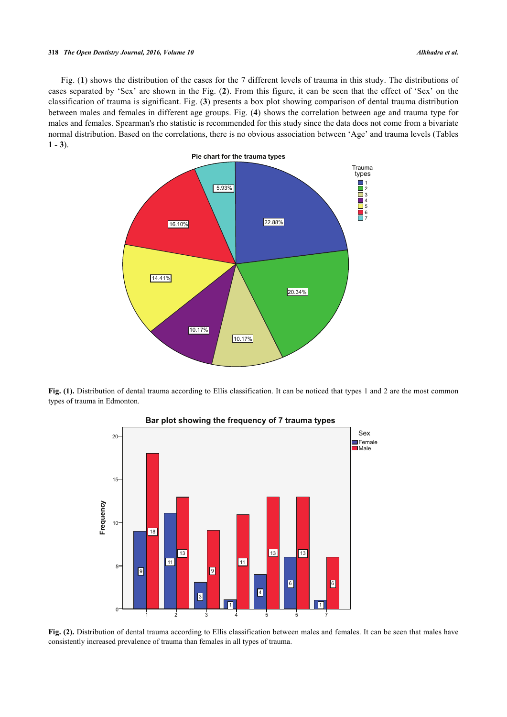#### **318** *The Open Dentistry Journal, 2016, Volume 10 Alkhadra et al.*

<span id="page-3-0"></span>Fig. (**[1](#page-3-0)**) shows the distribution of the cases for the 7 different levels of trauma in this study. The distributions of cases separated by 'Sex' are shown in the Fig. (**[2](#page-3-1)**). From this figure, it can be seen that the effect of 'Sex' on the classification of trauma is significant. Fig. (**[3](#page-3-2)**) presents a box plot showing comparison of dental trauma distribution between males and females in different age groups. Fig. (**[4](#page-4-0)**) shows the correlation between age and trauma type for males and females. Spearman's rho statistic is recommended for this study since the data does not come from a bivariate normal distribution. Based on the correlations, there is no obvious association between 'Age' and trauma levels (Tables  $1 - 3$  $1 - 3$  $1 - 3$ ).



<span id="page-3-1"></span>Fig. (1). Distribution of dental trauma according to Ellis classification. It can be noticed that types 1 and 2 are the most common types of trauma in Edmonton.



# Bar plot showing the frequency of 7 trauma types

<span id="page-3-2"></span>Fig. (2). Distribution of dental trauma according to Ellis classification between males and females. It can be seen that males have consistently increased prevalence of trauma than females in all types of trauma.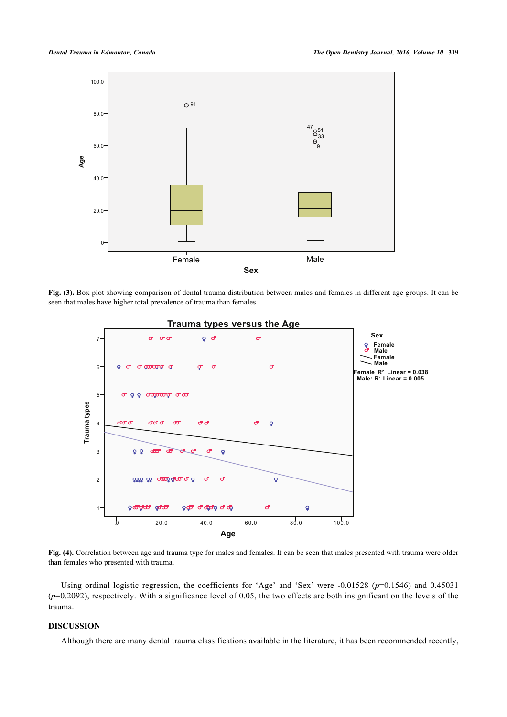

<span id="page-4-0"></span>Fig. (3). Box plot showing comparison of dental trauma distribution between males and females in different age groups. It can be seen that males have higher total prevalence of trauma than females.



**Fig. (4).** Correlation between age and trauma type for males and females. It can be seen that males presented with trauma were older than females who presented with trauma.

Using ordinal logistic regression, the coefficients for 'Age' and 'Sex' were -0.01528 ( $p=0.1546$ ) and 0.45031 (*p*=0.2092), respectively. With a significance level of 0.05, the two effects are both insignificant on the levels of the trauma.

### **DISCUSSION**

Although there are many dental trauma classifications available in the literature, it has been recommended recently,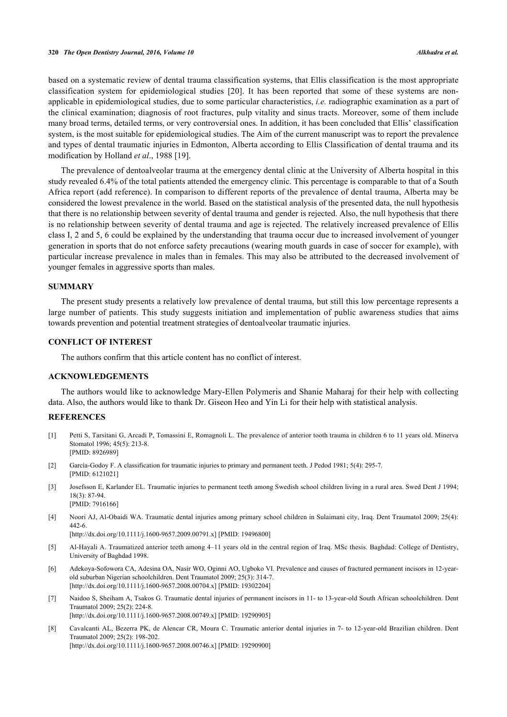based on a systematic review of dental trauma classification systems, that Ellis classification is the most appropriate classification system for epidemiological studies[[20](#page-6-10)]. It has been reported that some of these systems are nonapplicable in epidemiological studies, due to some particular characteristics, *i.e.* radiographic examination as a part of the clinical examination; diagnosis of root fractures, pulp vitality and sinus tracts. Moreover, some of them include many broad terms, detailed terms, or very controversial ones. In addition, it has been concluded that Ellis' classification system, is the most suitable for epidemiological studies. The Aim of the current manuscript was to report the prevalence and types of dental traumatic injuries in Edmonton, Alberta according to Ellis Classification of dental trauma and its modification by Holland *et al*., 1988 [\[19](#page-6-9)].

The prevalence of dentoalveolar trauma at the emergency dental clinic at the University of Alberta hospital in this study revealed 6.4% of the total patients attended the emergency clinic. This percentage is comparable to that of a South Africa report (add reference). In comparison to different reports of the prevalence of dental trauma, Alberta may be considered the lowest prevalence in the world. Based on the statistical analysis of the presented data, the null hypothesis that there is no relationship between severity of dental trauma and gender is rejected. Also, the null hypothesis that there is no relationship between severity of dental trauma and age is rejected. The relatively increased prevalence of Ellis class I, 2 and 5, 6 could be explained by the understanding that trauma occur due to increased involvement of younger generation in sports that do not enforce safety precautions (wearing mouth guards in case of soccer for example), with particular increase prevalence in males than in females. This may also be attributed to the decreased involvement of younger females in aggressive sports than males.

#### **SUMMARY**

The present study presents a relatively low prevalence of dental trauma, but still this low percentage represents a large number of patients. This study suggests initiation and implementation of public awareness studies that aims towards prevention and potential treatment strategies of dentoalveolar traumatic injuries.

## **CONFLICT OF INTEREST**

The authors confirm that this article content has no conflict of interest.

## **ACKNOWLEDGEMENTS**

The authors would like to acknowledge Mary-Ellen Polymeris and Shanie Maharaj for their help with collecting data. Also, the authors would like to thank Dr. Giseon Heo and Yin Li for their help with statistical analysis.

## **REFERENCES**

- <span id="page-5-0"></span>[1] Petti S, Tarsitani G, Arcadi P, Tomassini E, Romagnoli L. The prevalence of anterior tooth trauma in children 6 to 11 years old. Minerva Stomatol 1996; 45(5): 213-8. [PMID: [8926989\]](http://www.ncbi.nlm.nih.gov/pubmed/8926989)
- <span id="page-5-1"></span>[2] García-Godoy F. A classification for traumatic injuries to primary and permanent teeth. J Pedod 1981; 5(4): 295-7. [PMID: [6121021\]](http://www.ncbi.nlm.nih.gov/pubmed/6121021)
- <span id="page-5-2"></span>[3] Josefsson E, Karlander EL. Traumatic injuries to permanent teeth among Swedish school children living in a rural area. Swed Dent J 1994; 18(3): 87-94. [PMID: [7916166\]](http://www.ncbi.nlm.nih.gov/pubmed/7916166)
- <span id="page-5-3"></span>[4] Noori AJ, Al-Obaidi WA. Traumatic dental injuries among primary school children in Sulaimani city, Iraq. Dent Traumatol 2009; 25(4): 442-6.

[\[http://dx.doi.org/10.1111/j.1600-9657.2009.00791.x\]](http://dx.doi.org/10.1111/j.1600-9657.2009.00791.x) [PMID: [19496800](http://www.ncbi.nlm.nih.gov/pubmed/19496800)]

- <span id="page-5-4"></span>[5] Al-Hayali A. Traumatized anterior teeth among 4–11 years old in the central region of Iraq. MSc thesis. Baghdad: College of Dentistry, University of Baghdad 1998.
- <span id="page-5-5"></span>[6] Adekoya-Sofowora CA, Adesina OA, Nasir WO, Oginni AO, Ugboko VI. Prevalence and causes of fractured permanent incisors in 12-yearold suburban Nigerian schoolchildren. Dent Traumatol 2009; 25(3): 314-7. [\[http://dx.doi.org/10.1111/j.1600-9657.2008.00704.x\]](http://dx.doi.org/10.1111/j.1600-9657.2008.00704.x) [PMID: [19302204](http://www.ncbi.nlm.nih.gov/pubmed/19302204)]
- <span id="page-5-6"></span>[7] Naidoo S, Sheiham A, Tsakos G. Traumatic dental injuries of permanent incisors in 11- to 13-year-old South African schoolchildren. Dent Traumatol 2009; 25(2): 224-8. [\[http://dx.doi.org/10.1111/j.1600-9657.2008.00749.x\]](http://dx.doi.org/10.1111/j.1600-9657.2008.00749.x) [PMID: [19290905](http://www.ncbi.nlm.nih.gov/pubmed/19290905)]
- <span id="page-5-7"></span>[8] Cavalcanti AL, Bezerra PK, de Alencar CR, Moura C. Traumatic anterior dental injuries in 7- to 12-year-old Brazilian children. Dent Traumatol 2009; 25(2): 198-202. [\[http://dx.doi.org/10.1111/j.1600-9657.2008.00746.x\]](http://dx.doi.org/10.1111/j.1600-9657.2008.00746.x) [PMID: [19290900](http://www.ncbi.nlm.nih.gov/pubmed/19290900)]